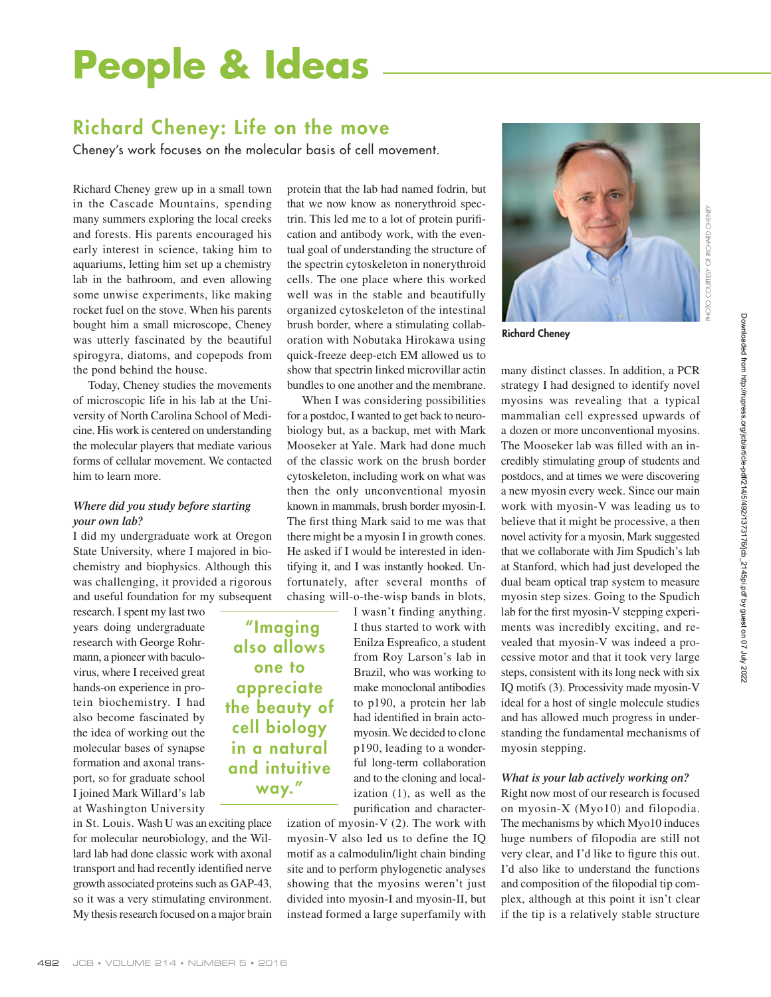# **People & Ideas**

# **Richard Cheney: Life on the move**

Cheney's work focuses on the molecular basis of cell movement.

Richard Cheney grew up in a small town in the Cascade Mountains, spending many summers exploring the local creeks and forests. His parents encouraged his early interest in science, taking him to aquariums, letting him set up a chemistry lab in the bathroom, and even allowing some unwise experiments, like making rocket fuel on the stove. When his parents bought him a small microscope, Cheney was utterly fascinated by the beautiful spirogyra, diatoms, and copepods from the pond behind the house.

Today, Cheney studies the movements of microscopic life in his lab at the University of North Carolina School of Medicine. His work is centered on understanding the molecular players that mediate various forms of cellular movement. We contacted him to learn more.

### *Where did you study before starting your own lab?*

I did my undergraduate work at Oregon State University, where I majored in biochemistry and biophysics. Although this was challenging, it provided a rigorous and useful foundation for my subsequent

research. I spent my last two years doing undergraduate research with George Rohrmann, a pioneer with baculovirus, where I received great hands-on experience in protein biochemistry. I had also become fascinated by the idea of working out the molecular bases of synapse formation and axonal transport, so for graduate school I joined Mark Willard's lab at Washington University

in St. Louis. Wash U was an exciting place for molecular neurobiology, and the Willard lab had done classic work with axonal transport and had recently identified nerve growth associated proteins such as GAP-43, so it was a very stimulating environment. My thesis research focused on a major brain

protein that the lab had named fodrin, but that we now know as nonerythroid spectrin. This led me to a lot of protein purification and antibody work, with the eventual goal of understanding the structure of the spectrin cytoskeleton in nonerythroid cells. The one place where this worked well was in the stable and beautifully organized cyto skeleton of the intestinal brush border, where a stimulating collaboration with Nobutaka Hirokawa using quick-freeze deep-etch EM allowed us to show that spectrin linked microvillar actin bundles to one another and the membrane.

When I was considering possibilities for a postdoc, I wanted to get back to neurobiology but, as a backup, met with Mark Mooseker at Yale. Mark had done much of the classic work on the brush border cytoskeleton, including work on what was then the only unconventional myosin known in mammals, brush border myosin-I. The first thing Mark said to me was that there might be a myosin I in growth cones. He asked if I would be interested in identifying it, and I was instantly hooked. Unfortunately, after several months of chasing will-o-the-wisp bands in blots,

 **"Imaging also allows one to appreciate the beauty of cell biology in a natural and intuitive way."**

I wasn't finding anything. I thus started to work with Enilza Espreafico, a student from Roy Larson's lab in Brazil, who was working to make monoclonal antibodies to p190, a protein her lab had identified in brain actomyosin. We decided to clone p190, leading to a wonderful long-term collaboration and to the cloning and localization (1), as well as the purification and character-

ization of myosin-V (2). The work with myosin-V also led us to define the IQ motif as a calmodulin/light chain binding site and to perform phylogenetic analyses showing that the myosins weren't just divided into myosin-I and myosin-II, but instead formed a large superfamily with



**Richard Cheney**

many distinct classes. In addition, a PCR strategy I had designed to identify novel myosins was revealing that a typical mammalian cell expressed upwards of a dozen or more unconventional myosins. The Mooseker lab was filled with an incredibly stimulating group of students and postdocs, and at times we were discovering a new myosin every week. Since our main work with myosin-V was leading us to believe that it might be processive, a then novel activity for a myosin, Mark suggested that we collaborate with Jim Spudich's lab at Stanford, which had just developed the dual beam optical trap system to measure myosin step sizes. Going to the Spudich lab for the first myosin-V stepping experiments was incredibly exciting, and revealed that myosin-V was indeed a processive motor and that it took very large steps, consistent with its long neck with six IQ motifs (3). Processivity made myosin-V ideal for a host of single molecule studies and has allowed much progress in understanding the fundamental mechanisms of myosin stepping.

#### *What is your lab actively working on?*

Right now most of our research is focused on myosin-X (Myo10) and filopodia. The mechanisms by which Myo10 induces huge numbers of filopodia are still not very clear, and I'd like to figure this out. I'd also like to understand the functions and composition of the filopodial tip complex, although at this point it isn't clear if the tip is a relatively stable structure

PHOTO COURTESY OF RICHARD CHENEY